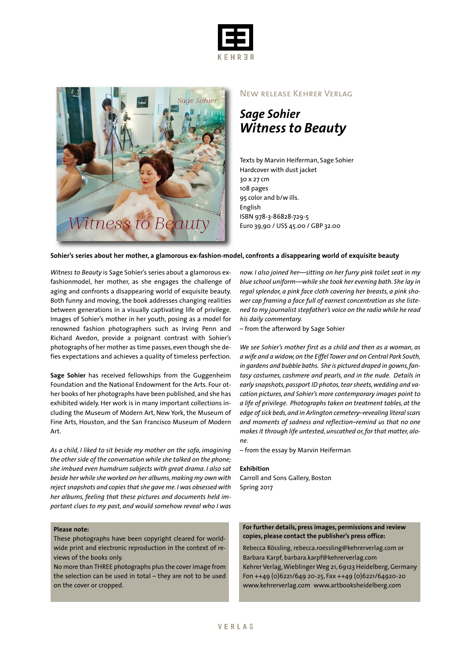



## New release Kehrer Verlag

*Sage Sohier Witness to Beauty*

Texts by Marvin Heiferman, Sage Sohier Hardcover with dust jacket 30 x 27 cm 108 pages 95 color and b/w ills. English ISBN 978-3-86828-729-5 Euro 39,90 / US\$ 45.00 / GBP 32.00

## **Sohier's series about her mother, a glamorous ex-fashion-model, confronts a disappearing world of exquisite beauty**

*Witness to Beauty* is Sage Sohier's series about a glamorous exfashionmodel, her mother, as she engages the challenge of aging and confronts a disappearing world of exquisite beauty. Both funny and moving, the book addresses changing realities between generations in a visually captivating life of privilege. Images of Sohier's mother in her youth, posing as a model for renowned fashion photographers such as Irving Penn and Richard Avedon, provide a poignant contrast with Sohier's photographs of her mother as time passes, even though she defies expectations and achieves a quality of timeless perfection.

**Sage Sohier** has received fellowships from the Guggenheim Foundation and the National Endowment for the Arts. Four other books of her photographs have been published, and she has exhibited widely. Her work is in many important collections including the Museum of Modern Art, New York, the Museum of Fine Arts, Houston, and the San Francisco Museum of Modern Art.

*As a child, I liked to sit beside my mother on the sofa, imagining the other side of the conversation while she talked on the phone; she imbued even humdrum subjects with great drama. I also sat beside her while she worked on her albums,making my own with reject snapshots and copies that she gave me. I was obsessed with her albums, feeling that these pictures and documents held important clues to my past, and would somehow reveal who I was*

## **Please note:**

These photographs have been copyright cleared for worldwide print and electronic reproduction in the context of reviews of the books only.

No more thanTHREE photographs plus the cover image from the selection can be used in total – they are not to be used on the cover or cropped.

*now. I also joined her––sitting on her furry pink toilet seat in my blue school uniform––while she took her evening bath. She lay in regal splendor, a pink face cloth covering her breasts, a pink shower cap framing a face full of earnest concentration as she listened to my journalist stepfather's voice on the radio while he read his daily commentary.*

– from the afterword by Sage Sohier

*We see Sohier's mother first as a child and then as a woman, as a wife and a widow,on the Eiffel Tower and on Central Park South, in gardens and bubble baths. She is pictured draped in gowns,fantasy costumes, cashmere and pearls, and in the nude. Details in* early snapshots, passport ID photos, tear sheets, wedding and va*cation pictures, and Sohier's more contemporary images point to a life of privilege. Photographs taken on treatment tables, at the edge ofsick beds,and in Arlington cemetery–revealing literalscars and moments of sadness and reflection–remind us that no one makesit through life untested,unscathed or,for that matter, alone.*

– from the essay by Marvin Heiferman

#### **Exhibition**

Carroll and Sons Gallery, Boston Spring 2017

### **For further details, press images, permissions and review copies, please contact the publisher's press office:**

Rebecca Rössling, rebecca.roessling@kehrerverlag.com or Barbara Karpf, barbara.karpf@kehrerverlag.com Kehrer Verlag,WieblingerWeg 21,69123 Heidelberg,Germany Fon ++49 (0)6221/649 20-25, Fax ++49 (0)6221/64920-20 www.kehrerverlag.com www.artbooksheidelberg.com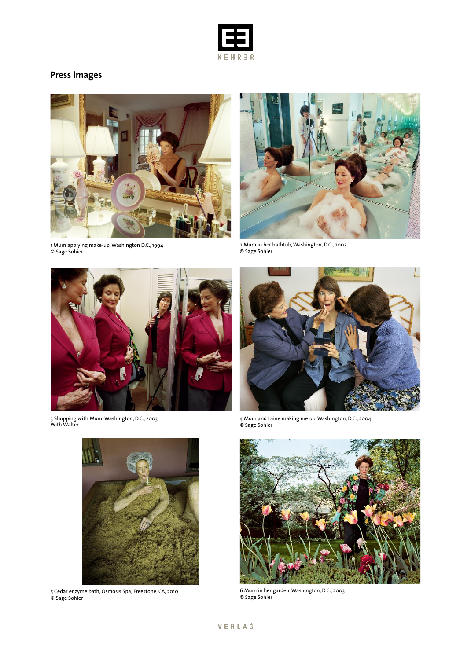

# **Press images**



1 Mum applying make-up,Washington D.C., 1994 © Sage Sohier



2 Mum in her bathtub,Washington, D.C., 2002 © Sage Sohier



3 Shopping with Mum,Washington, D.C., 2003 With Walter



5 Cedar enzyme bath, Osmosis Spa, Freestone, CA, 2010 © Sage Sohier



4 Mum and Laine making me up,Washington, D.C., 2004 © Sage Sohier



6 Mum in her garden,Washington, D.C., 2003 © Sage Sohier

## VERLAG